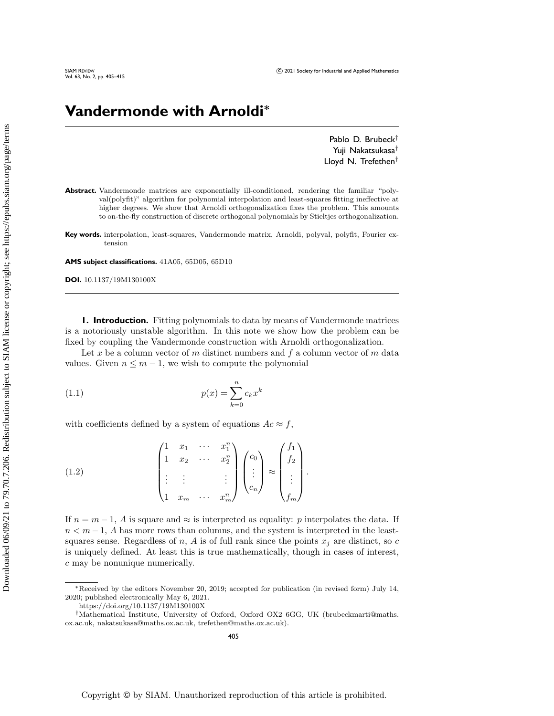# **Vandermonde with Arnoldi\***

Pablo D. Brubeck $^\dagger$ Yuji Nakatsukasa<sup>†</sup> Lloyd N. Trefethen $^\dagger$ 

- Abstract. Vandermonde matrices are exponentially ill-conditioned, rendering the familiar "polyval(polyfit)"" algorithm for polynomial interpolation and least-squares fitting ineffective at higher degrees. We show that Arnoldi orthogonalization fixes the problem. This amounts to on-the-fly construction of discrete orthogonal polynomials by Stieltjes orthogonalization.
- **Key words.** interpolation, least-squares, Vandermonde matrix, Arnoldi, polyval, polyfit, Fourier extension

**AMS subject classifications.** 41A05, 65D05, 65D10

**DOI.** 10.1137/19M130100X

**1. Introduction.** Fitting polynomials to data by means of Vandermonde matrices is a notoriously unstable algorithm. In this note we show how the problem can be fixed by coupling the Vandermonde construction with Arnoldi orthogonalization.

Let x be a column vector of m distinct numbers and  $f$  a column vector of m data values. Given  $n \leq m - 1$ , we wish to compute the polynomial

$$
(1.1)\qquad \qquad p(x) = \sum_{k=0}^{n} c_k x^k
$$

with coefficients defined by a system of equations  $Ac \approx f$ ,

<span id="page-0-0"></span>(1.2) 
$$
\begin{pmatrix} 1 & x_1 & \cdots & x_1^n \\ 1 & x_2 & \cdots & x_2^n \\ \vdots & \vdots & & \vdots \\ 1 & x_m & \cdots & x_m^n \end{pmatrix} \begin{pmatrix} c_0 \\ \vdots \\ c_n \end{pmatrix} \approx \begin{pmatrix} f_1 \\ f_2 \\ \vdots \\ f_m \end{pmatrix}.
$$

If  $n = m - 1$ , A is square and  $\approx$  is interpreted as equality: p interpolates the data. If  $n < m-1$ , A has more rows than columns, and the system is interpreted in the leastsquares sense. Regardless of n, A is of full rank since the points  $x_i$  are distinct, so c is uniquely defined. At least this is true mathematically, though in cases of interest, c may be nonunique numerically.

 $*$ Received by the editors November 20, 2019; accepted for publication (in revised form) July 14, 2020; published electronically May 6, 2021.

<https://doi.org/10.1137/19M130100X>

<sup>&</sup>lt;sup>†</sup>Mathematical Institute, University of Oxford, Oxford OX2 6GG, UK [\(brubeckmarti@maths.](mailto:brubeckmarti@maths.ox.ac.uk) [ox.ac.uk,](mailto:brubeckmarti@maths.ox.ac.uk) [nakatsukasa@maths.ox.ac.uk,](mailto:nakatsukasa@maths.ox.ac.uk) [trefethen@maths.ox.ac.uk\)](mailto:trefethen@maths.ox.ac.uk).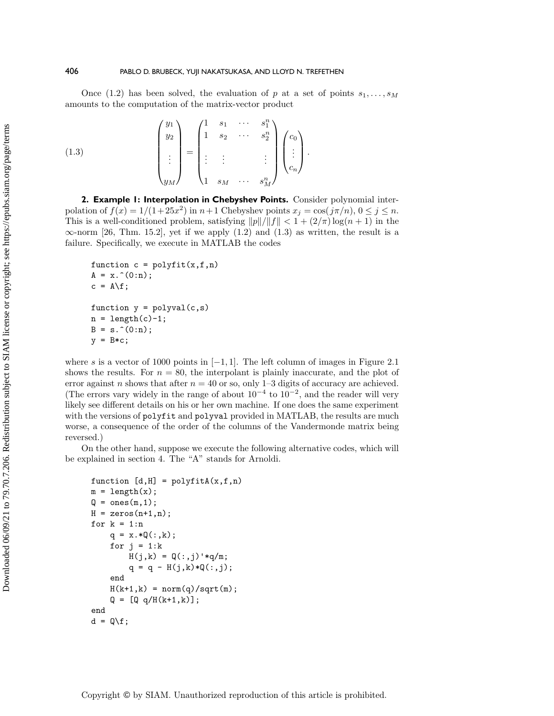Once [\(1.2\)](#page-0-0) has been solved, the evaluation of p at a set of points  $s_1, \ldots, s_M$ amounts to the computation of the matrix-vector product

<span id="page-1-0"></span>(1.3) 
$$
\begin{pmatrix} y_1 \\ y_2 \\ \vdots \\ y_M \end{pmatrix} = \begin{pmatrix} 1 & s_1 & \cdots & s_1^n \\ 1 & s_2 & \cdots & s_2^n \\ \vdots & \vdots & & \vdots \\ 1 & s_M & \cdots & s_M^n \end{pmatrix} \begin{pmatrix} c_0 \\ \vdots \\ c_n \end{pmatrix}.
$$

<span id="page-1-1"></span>**2. Example 1: Interpolation in Chebyshev Points.** Consider polynomial interpolation of  $f(x) = 1/(1+25x^2)$  in  $n+1$  Chebyshev points  $x_j = \cos(j\pi/n), 0 \leq j \leq n$ . This is a well-conditioned problem, satisfying  $\| p\| / \| f \| < 1 + (2/\pi) \log(n + 1)$  in the  $\infty$ -norm [\[26,](#page-10-0) Thm. 15.2], yet if we apply [\(1.2\)](#page-0-0) and [\(1.3\)](#page-1-0) as written, the result is a failure. Specifically, we execute in MATLAB the codes

```
function c = polyfit(x, f, n)A = x.\hat{O}(0:n);c = A \f;
function y = polyval(c, s)n = length(c)-1;B = s.\hat{O}(0:n);y = B * c;
```
where s is a vector of 1000 points in  $[-1, 1]$ . The left column of images in Figure [2.1](#page-2-0) shows the results. For  $n = 80$ , the interpolant is plainly inaccurate, and the plot of error against n shows that after  $n = 40$  or so, only 1-3 digits of accuracy are achieved. (The errors vary widely in the range of about  $10^{-4}$  to  $10^{-2}$ , and the reader will very likely see different details on his or her own machine. If one does the same experiment with the versions of polyfit and polyval provided in MATLAB, the results are much worse, a consequence of the order of the columns of the Vandermonde matrix being reversed.)

On the other hand, suppose we execute the following alternative codes, which will be explained in section [4.](#page-3-0) The "A" stands for Arnoldi.

```
function [d,H] = polyfitA(x,f,n)m = length(x);Q = \text{ones}(m, 1);H = zeros(n+1, n);for k = 1:nq = x.*Q(:,k);for j = 1:kH(j,k) = Q(:,j)*q/m;q = q - H(j,k)*Q(:,j);end
    H(k+1, k) = norm(q)/sqrt(m);Q = [Q q/H(k+1, k)],end
d = Q \ f;
```
Downloaded 06/09/21 to 79.70.7.206. Redistribution subject to SIAM license or copyright; see https://epubs.siam.org/page/terms Downloaded 06/09/21 to 79.70.7.206. Redistribution subject to SIAM license or copyright; see https://epubs.siam.org/page/terms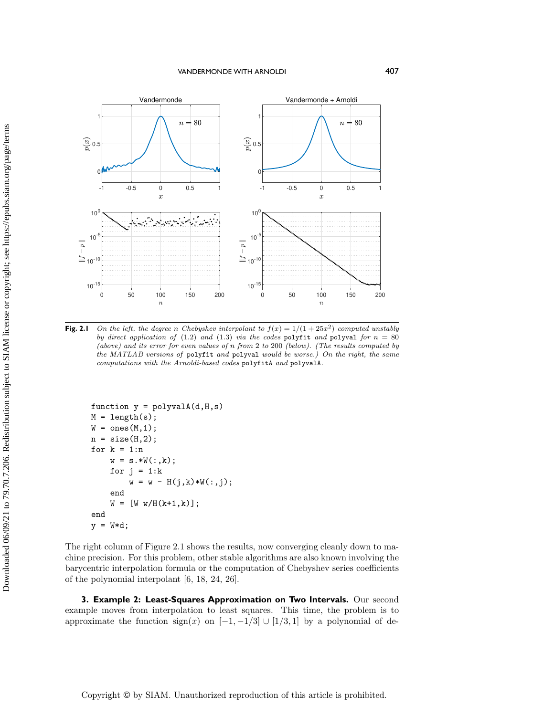<span id="page-2-0"></span>

**Fig. 2.1** On the left, the degree n Chebyshev interpolant to  $f(x) = 1/(1 + 25x^2)$  computed unstably by direct application of [\(1.2\)](#page-0-0) and [\(1.3\)](#page-1-0) via the codes polyfit and polyval for  $n = 80$ (above) and its error for even values of n from 2 to 200 (below). (The results computed by the MATLAB versions of polyfit and polyval would be worse.) On the right, the same computations with the Arnoldi-based codes polyfitA and polyvalA.

```
function y = polyvalA(d,H,s)M = length(s);W = ones(M,1);n = size(H, 2);
for k = 1:nw = s.*W(:,k);for j = 1:kw = w - H(j, k) * W(:, j);end
    W = [W W/H(k+1, k)],end
y = W*d;
```
The right column of Figure [2.1](#page-2-0) shows the results, now converging cleanly down to machine precision. For this problem, other stable algorithms are also known involving the barycentric interpolation formula or the computation of Chebyshev series coefficients of the polynomial interpolant [\[6,](#page-9-0) [18,](#page-9-1) [24,](#page-10-1) [26\]](#page-10-0).

**3. Example 2: Least-Squares Approximation on Two Intervals.** Our second example moves from interpolation to least squares. This time, the problem is to approximate the function  $sign(x)$  on  $[-1, -1/3] \cup [1/3, 1]$  by a polynomial of de-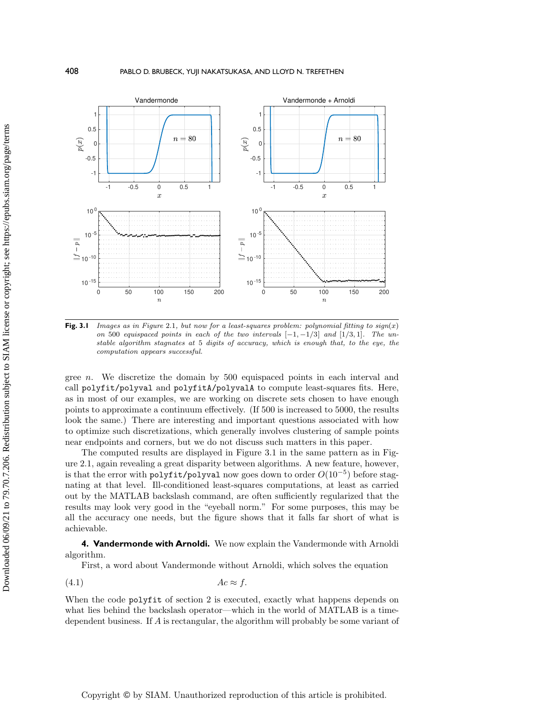<span id="page-3-1"></span>

**Fig. 3.1** Images as in Figure [2.1](#page-2-0), but now for a least-squares problem: polynomial fitting to  $sign(x)$ on 500 equispaced points in each of the two intervals  $[-1, -1/3]$  and  $[1/3, 1]$ . The unstable algorithm stagnates at 5 digits of accuracy, which is enough that, to the eye, the computation appears successful.

gree n. We discretize the domain by 500 equispaced points in each interval and call polyfit/polyval and polyfitA/polyvalA to compute least-squares fits. Here, as in most of our examples, we are working on discrete sets chosen to have enough points to approximate a continuum effectively. (If 500 is increased to 5000, the results look the same.) There are interesting and important questions associated with how to optimize such discretizations, which generally involves clustering of sample points near endpoints and corners, but we do not discuss such matters in this paper.

The computed results are displayed in Figure [3.1](#page-3-1) in the same pattern as in Figure [2.1,](#page-2-0) again revealing a great disparity between algorithms. A new feature, however, is that the error with  $\texttt{polyfit/polyval}$  now goes down to order  $O(10^{-5})$  before stagnating at that level. Ill-conditioned least-squares computations, at least as carried out by the MATLAB backslash command, are often sufficiently regularized that the results may look very good in the "eyeball norm." For some purposes, this may be all the accuracy one needs, but the figure shows that it falls far short of what is achievable.

<span id="page-3-0"></span>**4. Vandermonde with Arnoldi.** We now explain the Vandermonde with Arnoldi algorithm.

<span id="page-3-2"></span>First, a word about Vandermonde without Arnoldi, which solves the equation

$$
(4.1) \t\t Ac \approx f.
$$

When the code **polyfit** of section [2](#page-1-1) is executed, exactly what happens depends on what lies behind the backslash operator—which in the world of MATLAB is a timedependent business. If  $A$  is rectangular, the algorithm will probably be some variant of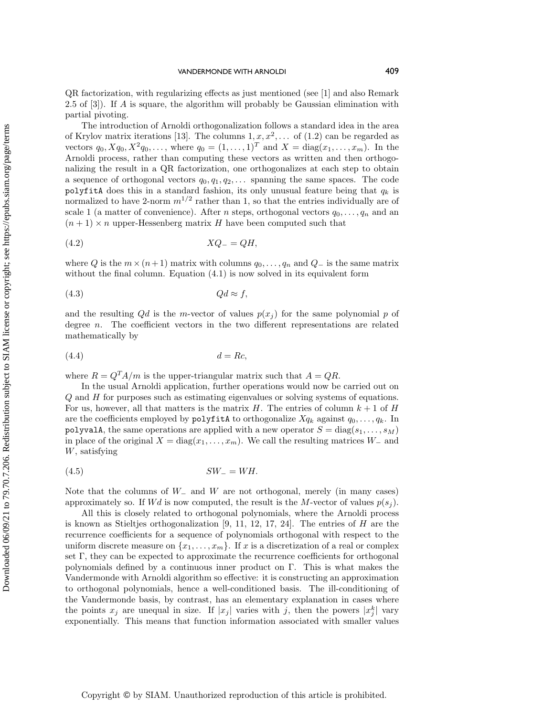QR factorization, with regularizing effects as just mentioned (see [\[1\]](#page-9-2) and also Remark 2.5 of [\[3\]](#page-9-3)). If A is square, the algorithm will probably be Gaussian elimination with partial pivoting.

The introduction of Arnoldi orthogonalization follows a standard idea in the area of Krylov matrix iterations [\[13\]](#page-9-4). The columns  $1, x, x^2, \ldots$  of [\(1.2\)](#page-0-0) can be regarded as vectors  $q_0, Xq_0, X^2q_0, \ldots$ , where  $q_0 = (1, \ldots, 1)^T$  and  $X = diag(x_1, \ldots, x_m)$ . In the Arnoldi process, rather than computing these vectors as written and then orthogonalizing the result in a QR factorization, one orthogonalizes at each step to obtain a sequence of orthogonal vectors  $q_0, q_1, q_2, \ldots$  spanning the same spaces. The code polyfitA does this in a standard fashion, its only unusual feature being that  $q_k$  is normalized to have 2-norm  $m^{1/2}$  rather than 1, so that the entries individually are of scale 1 (a matter of convenience). After *n* steps, orthogonal vectors  $q_0, \ldots, q_n$  and an  $(n + 1) \times n$  upper-Hessenberg matrix H have been computed such that

$$
(4.2) \t\t XQ_{-} = QH,
$$

where Q is the  $m \times (n+ 1)$  matrix with columns  $q_0, \ldots, q_n$  and  $Q_-$  is the same matrix without the final column. Equation  $(4.1)$  is now solved in its equivalent form

$$
(4.3) \t Qd \approx f,
$$

and the resulting  $Qd$  is the m-vector of values  $p(x_i)$  for the same polynomial p of degree n. The coefficient vectors in the two different representations are related mathematically by

$$
(4.4) \t\t d = Rc,
$$

where  $R = Q^T A/m$  is the upper-triangular matrix such that  $A = QR$ .

In the usual Arnoldi application, further operations would now be carried out on  $Q$  and  $H$  for purposes such as estimating eigenvalues or solving systems of equations. For us, however, all that matters is the matrix H. The entries of column  $k + 1$  of H are the coefficients employed by **polyfitA** to orthogonalize  $Xq_k$  against  $q_0, \ldots, q_k$ . In polyvalA, the same operations are applied with a new operator  $S = diag(s_1, \ldots, s_M)$ in place of the original  $X = diag(x_1, \ldots, x_m)$ . We call the resulting matrices  $W_{-}$  and W, satisfying

$$
(4.5) \tSW = WH.
$$

Note that the columns of  $W_{-}$  and  $W$  are not orthogonal, merely (in many cases) approximately so. If  $Wd$  is now computed, the result is the M-vector of values  $p(s_i)$ .

All this is closely related to orthogonal polynomials, where the Arnoldi process is known as Stieltjes orthogonalization  $[9, 11, 12, 17, 24]$  $[9, 11, 12, 17, 24]$  $[9, 11, 12, 17, 24]$  $[9, 11, 12, 17, 24]$  $[9, 11, 12, 17, 24]$ . The entries of H are the recurrence coefficients for a sequence of polynomials orthogonal with respect to the uniform discrete measure on  $\{x_1, \ldots, x_m\}$ . If x is a discretization of a real or complex set  $\Gamma$ , they can be expected to approximate the recurrence coefficients for orthogonal polynomials defined by a continuous inner product on  $\Gamma$ . This is what makes the Vandermonde with Arnoldi algorithm so effective: it is constructing an approximation to orthogonal polynomials, hence a well-conditioned basis. The ill-conditioning of the Vandermonde basis, by contrast, has an elementary explanation in cases where the points  $x_j$  are unequal in size. If  $|x_j|$  varies with j, then the powers  $|x_j^k|$  vary exponentially. This means that function information associated with smaller values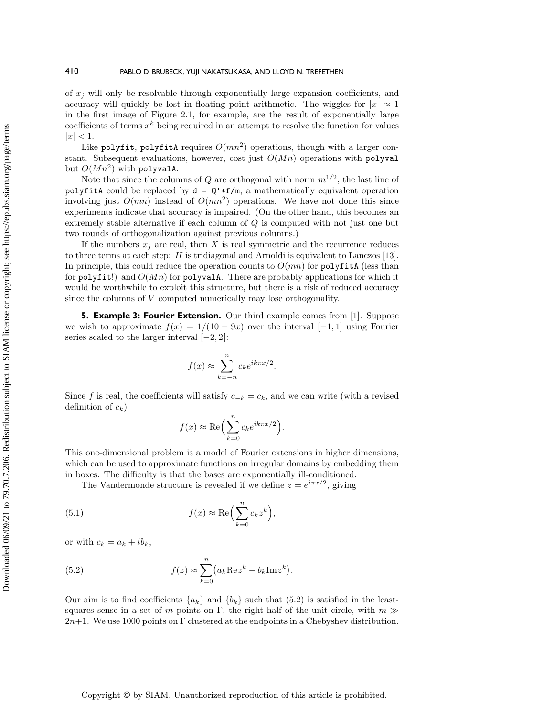of  $x_j$  will only be resolvable through exponentially large expansion coefficients, and accuracy will quickly be lost in floating point arithmetic. The wiggles for  $|x| \approx 1$ in the first image of Figure [2.1,](#page-2-0) for example, are the result of exponentially large coefficients of terms  $x^k$  being required in an attempt to resolve the function for values  $|x| < 1.$ 

Like polyfit, polyfitA requires  $O(mn^2)$  operations, though with a larger constant. Subsequent evaluations, however, cost just  $O(Mn)$  operations with polyval but  $O(Mn^2)$  with polyvalA.

Note that since the columns of Q are orthogonal with norm  $m^{1/2}$ , the last line of polyfitA could be replaced by  $d = Q'*f/m$ , a mathematically equivalent operation involving just  $O(mn)$  instead of  $O(mn^2)$  operations. We have not done this since experiments indicate that accuracy is impaired. (On the other hand, this becomes an extremely stable alternative if each column of Q is computed with not just one but two rounds of orthogonalization against previous columns.)

If the numbers  $x_j$  are real, then X is real symmetric and the recurrence reduces to three terms at each step: H is tridiagonal and Arnoldi is equivalent to Lanczos [\[13\]](#page-9-4). In principle, this could reduce the operation counts to  $O(mn)$  for polyfitA (less than for polyfit!) and  $O(Mn)$  for polyvalA. There are probably applications for which it would be worthwhile to exploit this structure, but there is a risk of reduced accuracy since the columns of V computed numerically may lose orthogonality.

**5. Example 3: Fourier Extension.** Our third example comes from [\[1\]](#page-9-2). Suppose we wish to approximate  $f(x) = 1/(10-9x)$  over the interval  $[-1,1]$  using Fourier series scaled to the larger interval  $[-2, 2]$ :

$$
f(x) \approx \sum_{k=-n}^{n} c_k e^{ik\pi x/2}
$$

.

.

Since f is real, the coefficients will satisfy  $c_{-k} = \overline{c}_k$ , and we can write (with a revised definition of  $c_k$ )

$$
f(x) \approx \text{Re}\Bigl(\sum_{k=0}^n c_k e^{ik\pi x/2}\Bigr)
$$

This one-dimensional problem is a model of Fourier extensions in higher dimensions, which can be used to approximate functions on irregular domains by embedding them in boxes. The difficulty is that the bases are exponentially ill-conditioned.

The Vandermonde structure is revealed if we define  $z = e^{i\pi x/2}$ , giving

(5.1) 
$$
f(x) \approx \text{Re}\Big(\sum_{k=0}^{n} c_k z^k\Big),
$$

or with  $c_k = a_k + ib_k$ ,

<span id="page-5-0"></span>(5.2) 
$$
f(z) \approx \sum_{k=0}^{n} (a_k \operatorname{Re} z^k - b_k \operatorname{Im} z^k).
$$

Our aim is to find coefficients  $\{ a_k\}$  and  $\{ b_k\}$  such that [\(5.2\)](#page-5-0) is satisfied in the leastsquares sense in a set of m points on  $\Gamma$ , the right half of the unit circle, with  $m \gg$  $2n+1$ . We use 1000 points on  $\Gamma$  clustered at the endpoints in a Chebyshev distribution.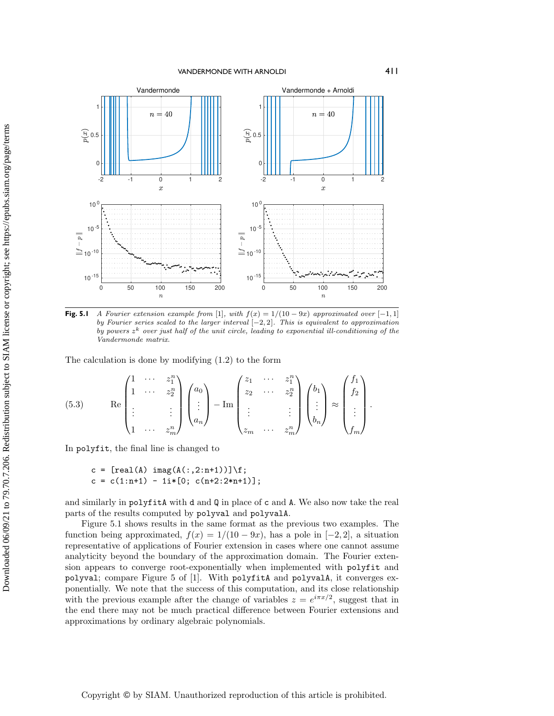<span id="page-6-0"></span>

**Fig. 5.1** A Fourier extension example from [\[1\]](#page-9-2), with  $f(x) = 1/(10-9x)$  approximated over  $[-1,1]$ by Fourier series scaled to the larger interval  $[-2, 2]$ . This is equivalent to approximation by powers  $z^k$  over just half of the unit circle, leading to exponential ill-conditioning of the Vandermonde matrix.

The calculation is done by modifying [\(1.2\)](#page-0-0) to the form

<span id="page-6-1"></span>
$$
(5.3) \qquad \text{Re}\begin{pmatrix} 1 & \cdots & z_1^n \\ 1 & \cdots & z_2^n \\ \vdots & & \vdots \\ 1 & \cdots & z_m^n \end{pmatrix} \begin{pmatrix} a_0 \\ \vdots \\ a_n \end{pmatrix} - \text{Im}\begin{pmatrix} z_1 & \cdots & z_1^n \\ z_2 & \cdots & z_2^n \\ \vdots & & \vdots \\ z_m & \cdots & z_m^n \end{pmatrix} \begin{pmatrix} b_1 \\ \vdots \\ b_n \end{pmatrix} \approx \begin{pmatrix} f_1 \\ f_2 \\ \vdots \\ f_m \end{pmatrix}.
$$

In polyfit, the final line is changed to

$$
c = [real(A) image(A(:,2:n+1))] \ f;
$$
  

$$
c = c(1:n+1) - 1i*[0; c(n+2:2*n+1)];
$$

and similarly in polyfitA with d and Q in place of c and A. We also now take the real parts of the results computed by polyval and polyvalA.

Figure [5.1](#page-6-0) shows results in the same format as the previous two examples. The function being approximated,  $f(x) = 1/(10-9x)$ , has a pole in  $[-2,2]$ , a situation representative of applications of Fourier extension in cases where one cannot assume analyticity beyond the boundary of the approximation domain. The Fourier extension appears to converge root-exponentially when implemented with polyfit and polyval; compare Figure 5 of [\[1\]](#page-9-2). With polyfitA and polyvalA, it converges exponentially. We note that the success of this computation, and its close relationship with the previous example after the change of variables  $z = e^{i\pi x/2}$ , suggest that in the end there may not be much practical difference between Fourier extensions and approximations by ordinary algebraic polynomials.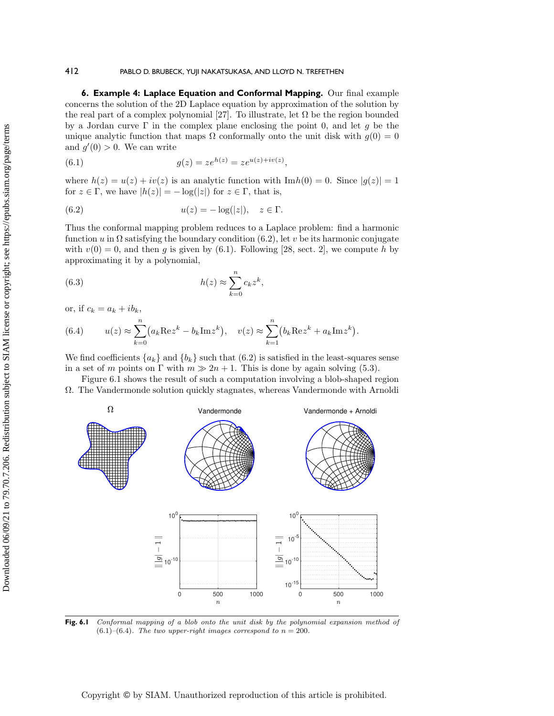## 412 PABLO D. BRUBECK, YUJI NAKATSUKASA, AND LLOYD N. TREFETHEN

**6. Example 4: Laplace Equation and Conformal Mapping.** Our final example concerns the solution of the 2D Laplace equation by approximation of the solution by the real part of a complex polynomial [\[27\]](#page-10-2). To illustrate, let  $\Omega$  be the region bounded by a Jordan curve  $\Gamma$  in the complex plane enclosing the point 0, and let g be the unique analytic function that maps  $\Omega$  conformally onto the unit disk with  $g(0) = 0$ and  $g'(0) > 0$ . We can write

<span id="page-7-1"></span>(6.1) 
$$
g(z) = ze^{h(z)} = ze^{u(z) + iv(z)},
$$

where  $h(z) = u(z) + iv(z)$  is an analytic function with  $\text{Im } h(0) = 0$ . Since  $|g(z)| = 1$ for  $z \in \Gamma$ , we have  $|h(z)| = -\log(|z|)$  for  $z \in \Gamma$ , that is,

<span id="page-7-0"></span>(6.2) 
$$
u(z) = -\log(|z|), \quad z \in \Gamma.
$$

Thus the conformal mapping problem reduces to a Laplace problem: find a harmonic function u in  $\Omega$  satisfying the boundary condition [\(6.2\)](#page-7-0), let v be its harmonic conjugate with  $v(0) = 0$ , and then g is given by [\(6.1\)](#page-7-1). Following [\[28,](#page-10-3) sect. 2], we compute h by approximating it by a polynomial,

(6.3) 
$$
h(z) \approx \sum_{k=0}^{n} c_k z^k,
$$

or, if  $c_k = a_k + ib_k$ ,

<span id="page-7-3"></span>(6.4) 
$$
u(z) \approx \sum_{k=0}^{n} (a_k \operatorname{Re} z^k - b_k \operatorname{Im} z^k), \quad v(z) \approx \sum_{k=1}^{n} (b_k \operatorname{Re} z^k + a_k \operatorname{Im} z^k).
$$

We find coefficients  $\{a_k\}$  and  $\{b_k\}$  such that [\(6.2\)](#page-7-0) is satisfied in the least-squares sense in a set of m points on  $\Gamma$  with  $m \gg 2n + 1$ . This is done by again solving [\(5.3\)](#page-6-1).

Figure [6.1](#page-7-2) shows the result of such a computation involving a blob-shaped region  $\Omega$ . The Vandermonde solution quickly stagnates, whereas Vandermonde with Arnoldi

<span id="page-7-2"></span>

Fig. 6.1 Conformal mapping of a blob onto the unit disk by the polynomial expansion method of  $(6.1)$ - $(6.4)$ . The two upper-right images correspond to  $n = 200$ .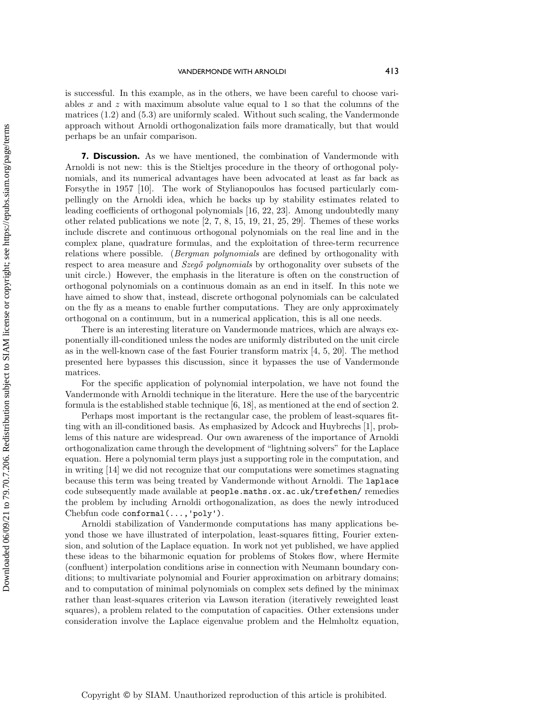is successful. In this example, as in the others, we have been careful to choose variables x and z with maximum absolute value equal to 1 so that the columns of the matrices [\(1.2\)](#page-0-0) and [\(5.3\)](#page-6-1) are uniformly scaled. Without such scaling, the Vandermonde approach without Arnoldi orthogonalization fails more dramatically, but that would perhaps be an unfair comparison.

**7. Discussion.** As we have mentioned, the combination of Vandermonde with Arnoldi is not new: this is the Stieltjes procedure in the theory of orthogonal polynomials, and its numerical advantages have been advocated at least as far back as Forsythe in 1957 [\[10\]](#page-9-9). The work of Stylianopoulos has focused particularly compellingly on the Arnoldi idea, which he backs up by stability estimates related to leading coefficients of orthogonal polynomials [\[16,](#page-9-10) [22,](#page-9-11) [23\]](#page-10-4). Among undoubtedly many other related publications we note [\[2,](#page-9-12) [7,](#page-9-13) [8,](#page-9-14) [15,](#page-9-15) [19,](#page-9-16) [21,](#page-9-17) [25,](#page-10-5) [29\]](#page-10-6). Themes of these works include discrete and continuous orthogonal polynomials on the real line and in the complex plane, quadrature formulas, and the exploitation of three-term recurrence relations where possible. (Bergman polynomials are defined by orthogonality with respect to area measure and  $Szeg\mathcal{O}$  polynomials by orthogonality over subsets of the unit circle.) However, the emphasis in the literature is often on the construction of orthogonal polynomials on a continuous domain as an end in itself. In this note we have aimed to show that, instead, discrete orthogonal polynomials can be calculated on the fly as a means to enable further computations. They are only approximately orthogonal on a continuum, but in a numerical application, this is all one needs.

There is an interesting literature on Vandermonde matrices, which are always exponentially ill-conditioned unless the nodes are uniformly distributed on the unit circle as in the well-known case of the fast Fourier transform matrix [\[4,](#page-9-18) [5,](#page-9-19) [20\]](#page-9-20). The method presented here bypasses this discussion, since it bypasses the use of Vandermonde matrices.

For the specific application of polynomial interpolation, we have not found the Vandermonde with Arnoldi technique in the literature. Here the use of the barycentric formula is the established stable technique  $[6, 18]$  $[6, 18]$ , as mentioned at the end of section [2.](#page-1-1)

Perhaps most important is the rectangular case, the problem of least-squares fitting with an ill-conditioned basis. As emphasized by Adcock and Huybrechs [\[1\]](#page-9-2), problems of this nature are widespread. Our own awareness of the importance of Arnoldi orthogonalization came through the development of ``lightning solvers"" for the Laplace equation. Here a polynomial term plays just a supporting role in the computation, and in writing [\[14\]](#page-9-21) we did not recognize that our computations were sometimes stagnating because this term was being treated by Vandermonde without Arnoldi. The laplace code subsequently made available at [people.maths.ox.ac.uk/trefethen/](http://people.maths.ox.ac.uk/trefethen/) remedies the problem by including Arnoldi orthogonalization, as does the newly introduced Chebfun code conformal $(\ldots,$ 'poly').

Arnoldi stabilization of Vandermonde computations has many applications beyond those we have illustrated of interpolation, least-squares fitting, Fourier extension, and solution of the Laplace equation. In work not yet published, we have applied these ideas to the biharmonic equation for problems of Stokes flow, where Hermite (confluent) interpolation conditions arise in connection with Neumann boundary conditions; to multivariate polynomial and Fourier approximation on arbitrary domains; and to computation of minimal polynomials on complex sets defined by the minimax rather than least-squares criterion via Lawson iteration (iteratively reweighted least squares), a problem related to the computation of capacities. Other extensions under consideration involve the Laplace eigenvalue problem and the Helmholtz equation,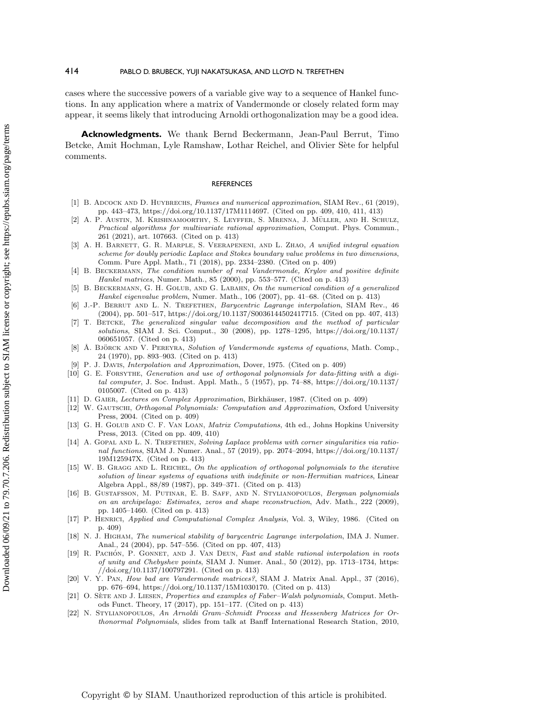### 414 PABLO D. BRUBECK, YUJI NAKATSUKASA, AND LLOYD N. TREFETHEN

cases where the successive powers of a variable give way to a sequence of Hankel functions. In any application where a matrix of Vandermonde or closely related form may appear, it seems likely that introducing Arnoldi orthogonalization may be a good idea.

**Acknowledgments.** We thank Bernd Beckermann, Jean-Paul Berrut, Timo Betcke, Amit Hochman, Lyle Ramshaw, Lothar Reichel, and Olivier Sète for helpful comments.

#### **REFERENCES**

- <span id="page-9-2"></span>[1] B. ADCOCK AND D. HUYBRECHS, Frames and numerical approximation, SIAM Rev., 61 (2019), pp. 443--473, [https://doi.org/10.1137/17M1114697.](https://doi.org/10.1137/17M1114697) (Cited on pp. 409, 410, 411, 413)
- <span id="page-9-12"></span>[2] A. P. AUSTIN, M. KRISHNAMOORTHY, S. LEYFFER, S. MRENNA, J. MÜLLER, AND H. SCHULZ, Practical algorithms for multivariate rational approximation, Comput. Phys. Commun., 261 (2021), art. 107663. (Cited on p. 413)
- <span id="page-9-3"></span>[3] A. H. BARNETT, G. R. MARPLE, S. VEERAPENENI, AND L. ZHAO, A unified integral equation scheme for doubly periodic Laplace and Stokes boundary value problems in two dimensions, Comm. Pure Appl. Math., 71 (2018), pp. 2334-2380. (Cited on p. 409)
- <span id="page-9-18"></span>[4] B. Beckermann, The condition number of real Vandermonde, Krylov and positive definite Hankel matrices, Numer. Math., 85 (2000), pp. 553-577. (Cited on p. 413)
- <span id="page-9-19"></span>[5] B. BECKERMANN, G. H. GOLUB, AND G. LABAHN, On the numerical condition of a generalized Hankel eigenvalue problem, Numer. Math., 106 (2007), pp. 41-68. (Cited on p. 413)
- <span id="page-9-0"></span>J.-P. BERRUT AND L. N. TREFETHEN, Barycentric Lagrange interpolation, SIAM Rev., 46  $(2004)$ , pp. 501-517, [https://doi.org/10.1137/S0036144502417715.](https://doi.org/10.1137/S0036144502417715) (Cited on pp. 407, 413)
- <span id="page-9-13"></span>[7] T. Betcke, The generalized singular value decomposition and the method of particular solutions, SIAM J. Sci. Comput., 30 (2008), pp. 1278-1295, [https://doi.org/10.1137/](https://doi.org/10.1137/060651057) [060651057.](https://doi.org/10.1137/060651057) (Cited on p. 413)
- <span id="page-9-14"></span>[8] Å. BJÖRCK AND V. PEREYRA, Solution of Vandermonde systems of equations, Math. Comp., 24 (1970), pp. 893--903. (Cited on p. 413)
- <span id="page-9-5"></span>[9] P. J. Davis, Interpolation and Approximation, Dover, 1975. (Cited on p. 409)
- <span id="page-9-9"></span>[10] G. E. Forsythe, Generation and use of orthogonal polynomials for data-fitting with a digital computer, J. Soc. Indust. Appl. Math., 5 (1957), pp. 74-88, [https://doi.org/10.1137/](https://doi.org/10.1137/0105007) [0105007.](https://doi.org/10.1137/0105007) (Cited on p. 413)
- <span id="page-9-6"></span>[11] D. GAIER, Lectures on Complex Approximation, Birkhäuser, 1987. (Cited on p. 409)
- <span id="page-9-7"></span>[12] W. Gautschi, Orthogonal Polynomials: Computation and Approximation, Oxford University Press, 2004. (Cited on p. 409)
- <span id="page-9-4"></span>[13] G. H. GOLUB AND C. F. VAN LOAN, *Matrix Computations*, 4th ed., Johns Hopkins University Press, 2013. (Cited on pp. 409, 410)
- <span id="page-9-21"></span>[14] A. GOPAL AND L. N. TREFETHEN, Solving Laplace problems with corner singularities via rational functions, SIAM J. Numer. Anal., 57 (2019), pp. 2074--2094, [https://doi.org/10.1137/](https://doi.org/10.1137/19M125947X) [19M125947X.](https://doi.org/10.1137/19M125947X) (Cited on p. 413)
- <span id="page-9-15"></span>[15] W. B. GRAGG AND L. REICHEL, On the application of orthogonal polynomials to the iterative solution of linear systems of equations with indefinite or non-Hermitian matrices, Linear Algebra Appl., 88/89 (1987), pp. 349-371. (Cited on p. 413)
- <span id="page-9-10"></span>[16] B. GUSTAFSSON, M. PUTINAR, E. B. SAFF, AND N. STYLIANOPOULOS, Bergman polynomials on an archipelago: Estimates, zeros and shape reconstruction, Adv. Math., 222 (2009), pp. 1405--1460. (Cited on p. 413)
- <span id="page-9-8"></span>[17] P. Henrici, Applied and Computational Complex Analysis, Vol. 3, Wiley, 1986. (Cited on p. 409)
- <span id="page-9-1"></span>[18] N. J. Higham, The numerical stability of barycentric Lagrange interpolation, IMA J. Numer. Anal., 24 (2004), pp. 547-556. (Cited on pp. 407, 413)
- <span id="page-9-16"></span>[19] R. PACHÓN, P. GONNET, AND J. VAN DEUN, Fast and stable rational interpolation in roots of unity and Chebyshev points, SIAM J. Numer. Anal., 50 (2012), pp. 1713--1734, [https:](https://doi.org/10.1137/100797291) [//doi.org/10.1137/100797291.](https://doi.org/10.1137/100797291) (Cited on p. 413)
- <span id="page-9-20"></span>[20] V. Y. Pan, How bad are Vandermonde matrices?, SIAM J. Matrix Anal. Appl., 37 (2016), pp. 676--694, [https://doi.org/10.1137/15M1030170.](https://doi.org/10.1137/15M1030170) (Cited on p. 413)
- <span id="page-9-17"></span>[21] O. SETE AND J. LIESEN, Properties and examples of Faber-Walsh polynomials, Comput. Methods Funct. Theory, 17 (2017), pp. 151–177. (Cited on p. 413)
- <span id="page-9-11"></span>[22] N. STYLIANOPOULOS, An Arnoldi Gram-Schmidt Process and Hessenberg Matrices for Orthonormal Polynomials, slides from talk at Banff International Research Station, 2010,